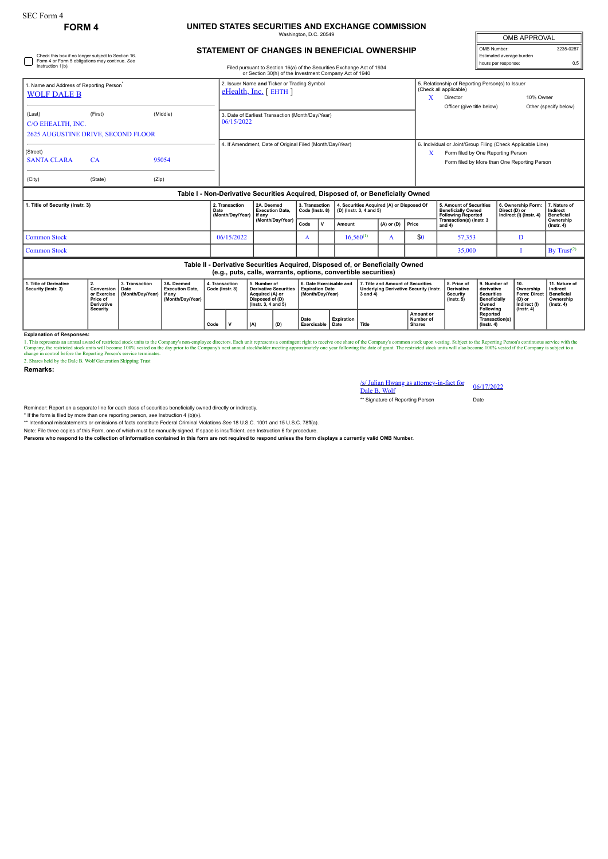Check this box if no longer subject to Section 16. Form 4 or Form 5 obligations may continue. *See*

## **FORM 4 UNITED STATES SECURITIES AND EXCHANGE COMMISSION**

nington, D.C. 20

| <b>OMB APPROVAL</b>      |           |  |  |  |  |  |  |  |
|--------------------------|-----------|--|--|--|--|--|--|--|
| OMB Number:              | 3235-0287 |  |  |  |  |  |  |  |
| Estimated average burden |           |  |  |  |  |  |  |  |
| hours per response:      | 0.5       |  |  |  |  |  |  |  |

## **STATEMENT OF CHANGES IN BENEFICIAL OWNERSHIP**

| Instruction 1(b).                                                          |                                                                                                                                                 |                                                                |                                                                                  |                                    |                                                                       |                                                                    | Filed pursuant to Section 16(a) of the Securities Exchange Act of 1934<br>or Section 30(h) of the Investment Company Act of 1940 |                                   |                                                                       |                                                                      |                                                                                                     |                                         |                                                                                   |                                                                                                                                                   |                                                                                              | munis per response                            |                                                                                 | $\mathsf{v}.\mathsf{v}$                                                         |  |
|----------------------------------------------------------------------------|-------------------------------------------------------------------------------------------------------------------------------------------------|----------------------------------------------------------------|----------------------------------------------------------------------------------|------------------------------------|-----------------------------------------------------------------------|--------------------------------------------------------------------|----------------------------------------------------------------------------------------------------------------------------------|-----------------------------------|-----------------------------------------------------------------------|----------------------------------------------------------------------|-----------------------------------------------------------------------------------------------------|-----------------------------------------|-----------------------------------------------------------------------------------|---------------------------------------------------------------------------------------------------------------------------------------------------|----------------------------------------------------------------------------------------------|-----------------------------------------------|---------------------------------------------------------------------------------|---------------------------------------------------------------------------------|--|
| 1. Name and Address of Reporting Person <sup>®</sup><br><b>WOLF DALE B</b> |                                                                                                                                                 |                                                                |                                                                                  |                                    | 2. Issuer Name and Ticker or Trading Symbol<br>eHealth, Inc. [ EHTH ] |                                                                    |                                                                                                                                  |                                   |                                                                       |                                                                      |                                                                                                     |                                         | X                                                                                 | 5. Relationship of Reporting Person(s) to Issuer<br>(Check all applicable)<br>Director                                                            |                                                                                              |                                               |                                                                                 | 10% Owner                                                                       |  |
| (Last)<br>C/O EHEALTH, INC.<br><b>2625 AUGUSTINE DRIVE, SECOND FLOOR</b>   |                                                                                                                                                 | 3. Date of Earliest Transaction (Month/Day/Year)<br>06/15/2022 |                                                                                  |                                    |                                                                       |                                                                    |                                                                                                                                  |                                   |                                                                       |                                                                      | Officer (give title below)                                                                          |                                         |                                                                                   |                                                                                                                                                   | Other (specify below)                                                                        |                                               |                                                                                 |                                                                                 |  |
| (Street)<br><b>SANTA CLARA</b><br>(City)                                   | CA<br>(State)                                                                                                                                   | (Zip)                                                          | 95054                                                                            |                                    | 4. If Amendment, Date of Original Filed (Month/Day/Year)              |                                                                    |                                                                                                                                  |                                   |                                                                       |                                                                      |                                                                                                     |                                         | X                                                                                 | 6. Individual or Joint/Group Filing (Check Applicable Line)<br>Form filed by One Reporting Person<br>Form filed by More than One Reporting Person |                                                                                              |                                               |                                                                                 |                                                                                 |  |
|                                                                            |                                                                                                                                                 |                                                                | Table I - Non-Derivative Securities Acquired, Disposed of, or Beneficially Owned |                                    |                                                                       |                                                                    |                                                                                                                                  |                                   |                                                                       |                                                                      |                                                                                                     |                                         |                                                                                   |                                                                                                                                                   |                                                                                              |                                               |                                                                                 |                                                                                 |  |
| 1. Title of Security (Instr. 3)                                            |                                                                                                                                                 |                                                                | Date                                                                             | 2. Transaction<br>(Month/Day/Year) |                                                                       | 2A. Deemed<br><b>Execution Date.</b><br>if anv<br>(Month/Day/Year) |                                                                                                                                  | 3. Transaction<br>Code (Instr. 8) |                                                                       | 4. Securities Acquired (A) or Disposed Of<br>(D) (Instr. 3, 4 and 5) |                                                                                                     |                                         | 5. Amount of Securities<br><b>Beneficially Owned</b><br><b>Following Reported</b> |                                                                                                                                                   | Direct (D) or                                                                                | 6. Ownership Form:<br>Indirect (I) (Instr. 4) | 7. Nature of<br>Indirect<br><b>Beneficial</b>                                   |                                                                                 |  |
|                                                                            |                                                                                                                                                 |                                                                |                                                                                  |                                    |                                                                       |                                                                    |                                                                                                                                  |                                   | $\mathsf{v}$                                                          | Amount                                                               |                                                                                                     | $(A)$ or $(D)$                          | Price                                                                             | Transaction(s) (Instr. 3<br>and $4)$                                                                                                              |                                                                                              |                                               |                                                                                 | Ownership<br>$($ Instr. 4 $)$                                                   |  |
| <b>Common Stock</b>                                                        |                                                                                                                                                 |                                                                |                                                                                  |                                    | 06/15/2022                                                            |                                                                    | $\mathbf{A}$                                                                                                                     |                                   | $16.560^{(1)}$                                                        |                                                                      | A                                                                                                   | \$0                                     | 57,353                                                                            | D                                                                                                                                                 |                                                                                              |                                               |                                                                                 |                                                                                 |  |
| <b>Common Stock</b>                                                        |                                                                                                                                                 |                                                                |                                                                                  |                                    |                                                                       |                                                                    |                                                                                                                                  |                                   |                                                                       |                                                                      |                                                                                                     |                                         |                                                                                   | 35,000                                                                                                                                            |                                                                                              |                                               |                                                                                 | By $Trust(2)$                                                                   |  |
|                                                                            | Table II - Derivative Securities Acquired, Disposed of, or Beneficially Owned<br>(e.g., puts, calls, warrants, options, convertible securities) |                                                                |                                                                                  |                                    |                                                                       |                                                                    |                                                                                                                                  |                                   |                                                                       |                                                                      |                                                                                                     |                                         |                                                                                   |                                                                                                                                                   |                                                                                              |                                               |                                                                                 |                                                                                 |  |
| 1. Title of Derivative<br>Security (Instr. 3)                              | 2.<br>Conversion<br>or Exercise<br>Price of<br><b>Derivative</b><br>Security                                                                    | 3. Transaction<br>Date<br>(Month/Day/Year)                     | 3A. Deemed<br><b>Execution Date.</b><br>if anv<br>(Month/Day/Year)               |                                    | 4. Transaction<br>Code (Instr. 8)                                     |                                                                    | 5. Number of<br><b>Derivative Securities</b><br>Acquired (A) or<br>Disposed of (D)<br>(Instr. 3, 4 and 5)                        |                                   | 6. Date Exercisable and<br><b>Expiration Date</b><br>(Month/Day/Year) |                                                                      | 7. Title and Amount of Securities<br><b>Underlying Derivative Security (Instr.</b><br>$3$ and $4$ ) |                                         |                                                                                   | 8. Price of<br><b>Derivative</b><br><b>Security</b><br>$($ lnstr. 5 $)$                                                                           | 9. Number of<br>derivative<br><b>Securities</b><br><b>Beneficially</b><br>Owned<br>Following |                                               | 10.<br>Ownership<br><b>Form: Direct</b><br>(D) or<br>Indirect (I)<br>(Instr. 4) | 11. Nature of<br>Indirect<br><b>Beneficial</b><br>Ownership<br>$($ lnstr. 4 $)$ |  |
|                                                                            |                                                                                                                                                 |                                                                |                                                                                  | Code                               | (A)<br>(D)<br>v                                                       |                                                                    |                                                                                                                                  | Date<br>Exercisable               |                                                                       | <b>Expiration</b><br>Date<br><b>Title</b>                            |                                                                                                     | Amount or<br>Number of<br><b>Shares</b> |                                                                                   | Reported<br>Transaction(s)<br>$($ lnstr. 4 $)$                                                                                                    |                                                                                              |                                               |                                                                                 |                                                                                 |  |
| <b>Explanation of Responses:</b>                                           |                                                                                                                                                 |                                                                |                                                                                  |                                    |                                                                       |                                                                    |                                                                                                                                  |                                   |                                                                       |                                                                      |                                                                                                     |                                         |                                                                                   |                                                                                                                                                   |                                                                                              |                                               |                                                                                 |                                                                                 |  |

**Explanation of Responses:**<br>1. This represents an amand a of restricted stock units to the Company's non-employee directors. Each unit represents a contingent right to receive one share of the Company's common stock upon v

**Remarks:**

 $\frac{\text{S}}{\text{S}}$  Julian Hwang as attorney-in-fact for 06/17/2022

\*\* Signature of Reporting Person Date

Reminder: Report on a separate line for each class of securities beneficially owned directly or indirectly.

\* If the form is filed by more than one reporting person, see Instruction 4 (b)(v).<br>\*\* Intentional misstatements or omissions of facts constitute Federal Criminal Violations See 18 U.S.C. 1001 and 15 U.S.C. 78ff(a).

Note: File three copies of this Form, one of which must be manually signed. If space is insufficient, *see* Instruction 6 for procedure.

**Persons who respond to the collection of information contained in this form are not required to respond unless the form displays a currently valid OMB Number.**